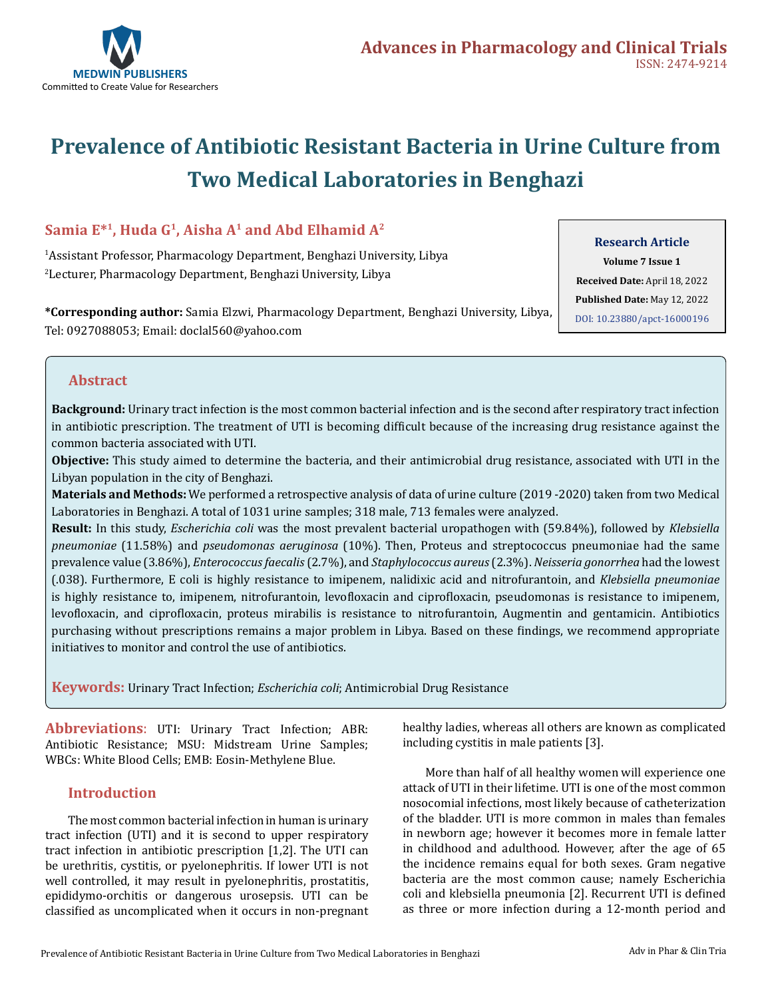

# **Prevalence of Antibiotic Resistant Bacteria in Urine Culture from Two Medical Laboratories in Benghazi**

## Samia E<sup>\*1</sup>, Huda G<sup>1</sup>, Aisha A<sup>1</sup> and Abd Elhamid A<sup>2</sup>

1 Assistant Professor, Pharmacology Department, Benghazi University, Libya 2 Lecturer, Pharmacology Department, Benghazi University, Libya

**Research Article**

**Volume 7 Issue 1 Received Date:** April 18, 2022 **Published Date:** May 12, 2022 [DOI: 10.23880/apct-16000196](https://doi.org/10.23880/apct-16000196)

**\*Corresponding author:** Samia Elzwi, Pharmacology Department, Benghazi University, Libya, Tel: 0927088053; Email: doclal560@yahoo.com

#### **Abstract**

**Background:** Urinary tract infection is the most common bacterial infection and is the second after respiratory tract infection in antibiotic prescription. The treatment of UTI is becoming difficult because of the increasing drug resistance against the common bacteria associated with UTI.

**Objective:** This study aimed to determine the bacteria, and their antimicrobial drug resistance, associated with UTI in the Libyan population in the city of Benghazi.

**Materials and Methods:** We performed a retrospective analysis of data of urine culture (2019 -2020) taken from two Medical Laboratories in Benghazi. A total of 1031 urine samples; 318 male, 713 females were analyzed.

**Result:** In this study, *Escherichia coli* was the most prevalent bacterial uropathogen with (59.84%), followed by *Klebsiella pneumoniae* (11.58%) and *pseudomonas aeruginosa* (10%). Then, Proteus and streptococcus pneumoniae had the same prevalence value (3.86%), *Enterococcusfaecalis* (2.7%), and *Staphylococcus aureus* (2.3%). *Neisseria gonorrhea* had the lowest (.038). Furthermore, E coli is highly resistance to imipenem, nalidixic acid and nitrofurantoin, and *Klebsiella pneumoniae* is highly resistance to, imipenem, nitrofurantoin, levofloxacin and ciprofloxacin, pseudomonas is resistance to imipenem, levofloxacin, and ciprofloxacin, proteus mirabilis is resistance to nitrofurantoin, Augmentin and gentamicin. Antibiotics purchasing without prescriptions remains a major problem in Libya. Based on these findings, we recommend appropriate initiatives to monitor and control the use of antibiotics.

**Keywords:** Urinary Tract Infection; *Escherichia coli*; Antimicrobial Drug Resistance

**Abbreviations**: UTI: Urinary Tract Infection; ABR: Antibiotic Resistance; MSU: Midstream Urine Samples; WBCs: White Blood Cells; EMB: Eosin-Methylene Blue.

#### **Introduction**

The most common bacterial infection in human is urinary tract infection (UTI) and it is second to upper respiratory tract infection in antibiotic prescription [1,2]. The UTI can be urethritis, cystitis, or pyelonephritis. If lower UTI is not well controlled, it may result in pyelonephritis, prostatitis, epididymo-orchitis or dangerous urosepsis. UTI can be classified as uncomplicated when it occurs in non-pregnant healthy ladies, whereas all others are known as complicated including cystitis in male patients [3].

More than half of all healthy women will experience one attack of UTI in their lifetime. UTI is one of the most common nosocomial infections, most likely because of catheterization of the bladder. UTI is more common in males than females in newborn age; however it becomes more in female latter in childhood and adulthood. However, after the age of 65 the incidence remains equal for both sexes. Gram negative bacteria are the most common cause; namely Escherichia coli and klebsiella pneumonia [2]. Recurrent UTI is defined as three or more infection during a 12-month period and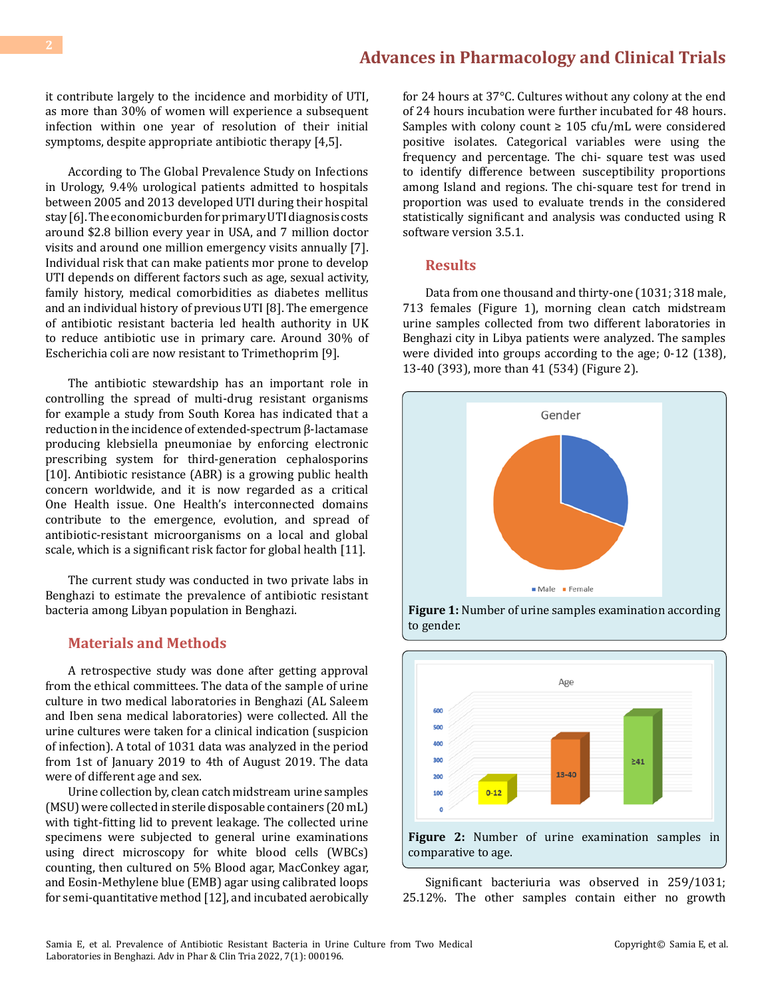it contribute largely to the incidence and morbidity of UTI, as more than 30% of women will experience a subsequent infection within one year of resolution of their initial symptoms, despite appropriate antibiotic therapy [4,5].

According to The Global Prevalence Study on Infections in Urology, 9.4% urological patients admitted to hospitals between 2005 and 2013 developed UTI during their hospital stay [6]. The economic burden for primary UTI diagnosis costs around \$2.8 billion every year in USA, and 7 million doctor visits and around one million emergency visits annually [7]. Individual risk that can make patients mor prone to develop UTI depends on different factors such as age, sexual activity, family history, medical comorbidities as diabetes mellitus and an individual history of previous UTI [8]. The emergence of antibiotic resistant bacteria led health authority in UK to reduce antibiotic use in primary care. Around 30% of Escherichia coli are now resistant to Trimethoprim [9].

The antibiotic stewardship has an important role in controlling the spread of multi-drug resistant organisms for example a study from South Korea has indicated that a reduction in the incidence of extended-spectrum β-lactamase producing klebsiella pneumoniae by enforcing electronic prescribing system for third-generation cephalosporins [10]. Antibiotic resistance (ABR) is a growing public health concern worldwide, and it is now regarded as a critical One Health issue. One Health's interconnected domains contribute to the emergence, evolution, and spread of antibiotic-resistant microorganisms on a local and global scale, which is a significant risk factor for global health [11].

The current study was conducted in two private labs in Benghazi to estimate the prevalence of antibiotic resistant bacteria among Libyan population in Benghazi.

#### **Materials and Methods**

A retrospective study was done after getting approval from the ethical committees. The data of the sample of urine culture in two medical laboratories in Benghazi (AL Saleem and Iben sena medical laboratories) were collected. All the urine cultures were taken for a clinical indication (suspicion of infection). A total of 1031 data was analyzed in the period from 1st of January 2019 to 4th of August 2019. The data were of different age and sex.

Urine collection by, clean catch midstream urine samples (MSU) were collected in sterile disposable containers (20 mL) with tight-fitting lid to prevent leakage. The collected urine specimens were subjected to general urine examinations using direct microscopy for white blood cells (WBCs) counting, then cultured on 5% Blood agar, MacConkey agar, and Eosin-Methylene blue (EMB) agar using calibrated loops for semi-quantitative method [12], and incubated aerobically

for 24 hours at 37°C. Cultures without any colony at the end of 24 hours incubation were further incubated for 48 hours. Samples with colony count ≥ 105 cfu/mL were considered positive isolates. Categorical variables were using the frequency and percentage. The chi- square test was used to identify difference between susceptibility proportions among Island and regions. The chi-square test for trend in proportion was used to evaluate trends in the considered statistically significant and analysis was conducted using R software version 3.5.1.

#### **Results**

Data from one thousand and thirty-one (1031; 318 male, 713 females (Figure 1), morning clean catch midstream urine samples collected from two different laboratories in Benghazi city in Libya patients were analyzed. The samples were divided into groups according to the age; 0-12 (138), 13-40 (393), more than 41 (534) (Figure 2).



**Figure 1:** Number of urine samples examination according to gender.



Significant bacteriuria was observed in 259/1031; 25.12%. The other samples contain either no growth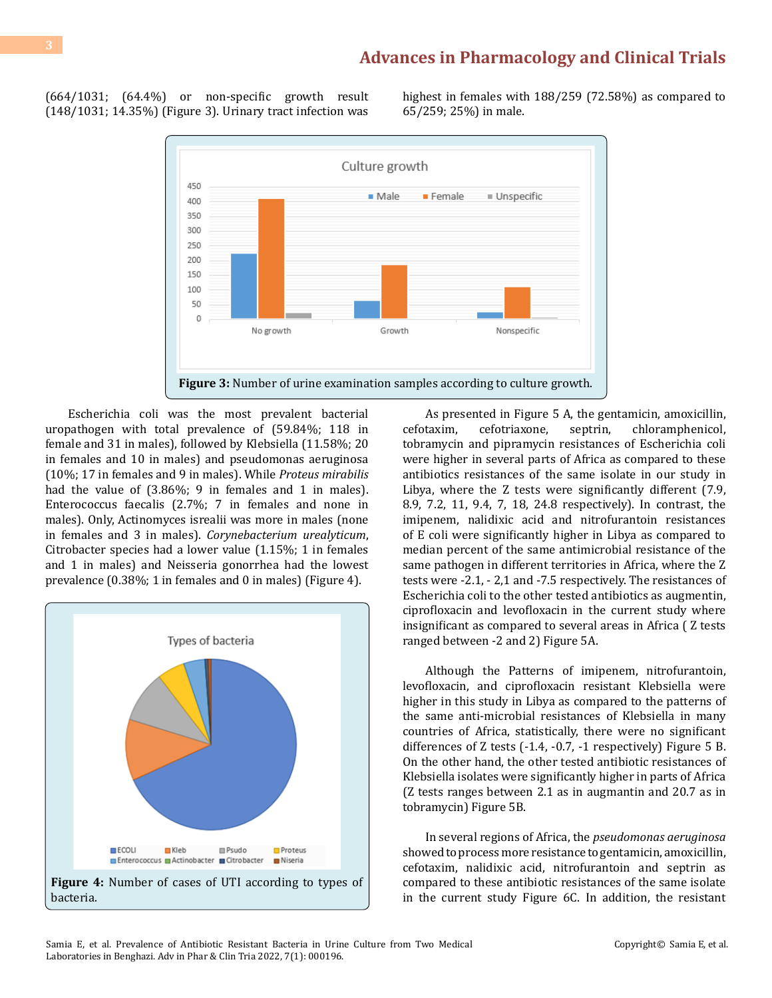(664/1031; (64.4%) or non-specific growth result (148/1031; 14.35%) (Figure 3). Urinary tract infection was highest in females with 188/259 (72.58%) as compared to 65/259; 25%) in male.



Escherichia coli was the most prevalent bacterial uropathogen with total prevalence of (59.84%; 118 in female and 31 in males), followed by Klebsiella (11.58%; 20 in females and 10 in males) and pseudomonas aeruginosa (10%; 17 in females and 9 in males). While *Proteus mirabilis* had the value of (3.86%; 9 in females and 1 in males). Enterococcus faecalis (2.7%; 7 in females and none in males). Only, Actinomyces isrealii was more in males (none in females and 3 in males). *Corynebacterium urealyticum*, Citrobacter species had a lower value (1.15%; 1 in females and 1 in males) and Neisseria gonorrhea had the lowest prevalence (0.38%; 1 in females and 0 in males) (Figure 4).



As presented in Figure 5 A, the gentamicin, amoxicillin, cefotaxim, cefotriaxone, septrin, chloramphenicol, chloramphenicol, tobramycin and pipramycin resistances of Escherichia coli were higher in several parts of Africa as compared to these antibiotics resistances of the same isolate in our study in Libya, where the Z tests were significantly different (7.9, 8.9, 7.2, 11, 9.4, 7, 18, 24.8 respectively). In contrast, the imipenem, nalidixic acid and nitrofurantoin resistances of E coli were significantly higher in Libya as compared to median percent of the same antimicrobial resistance of the same pathogen in different territories in Africa, where the Z tests were -2.1, - 2,1 and -7.5 respectively. The resistances of Escherichia coli to the other tested antibiotics as augmentin, ciprofloxacin and levofloxacin in the current study where insignificant as compared to several areas in Africa ( Z tests ranged between -2 and 2) Figure 5A.

Although the Patterns of imipenem, nitrofurantoin, levofloxacin, and ciprofloxacin resistant Klebsiella were higher in this study in Libya as compared to the patterns of the same anti-microbial resistances of Klebsiella in many countries of Africa, statistically, there were no significant differences of Z tests (-1.4, -0.7, -1 respectively) Figure 5 B. On the other hand, the other tested antibiotic resistances of Klebsiella isolates were significantly higher in parts of Africa (Z tests ranges between 2.1 as in augmantin and 20.7 as in tobramycin) Figure 5B.

In several regions of Africa, the *pseudomonas aeruginosa* showed to process more resistance to gentamicin, amoxicillin, cefotaxim, nalidixic acid, nitrofurantoin and septrin as compared to these antibiotic resistances of the same isolate in the current study Figure 6C. In addition, the resistant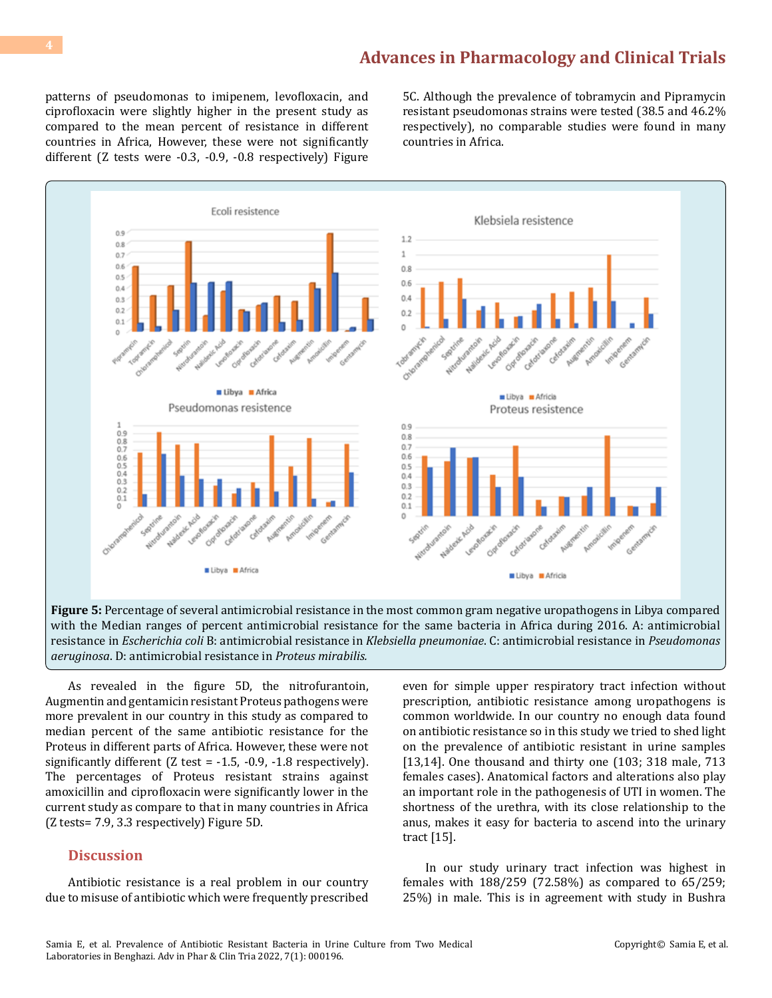patterns of pseudomonas to imipenem, levofloxacin, and ciprofloxacin were slightly higher in the present study as compared to the mean percent of resistance in different countries in Africa, However, these were not significantly different (Z tests were -0.3, -0.9, -0.8 respectively) Figure

5C. Although the prevalence of tobramycin and Pipramycin resistant pseudomonas strains were tested (38.5 and 46.2% respectively), no comparable studies were found in many countries in Africa.



**Figure 5:** Percentage of several antimicrobial resistance in the most common gram negative uropathogens in Libya compared with the Median ranges of percent antimicrobial resistance for the same bacteria in Africa during 2016. A: antimicrobial resistance in *Escherichia coli* B: antimicrobial resistance in *Klebsiella pneumoniae*. C: antimicrobial resistance in *Pseudomonas aeruginosa*. D: antimicrobial resistance in *Proteus mirabilis.*

As revealed in the figure 5D, the nitrofurantoin, Augmentin and gentamicin resistant Proteus pathogens were more prevalent in our country in this study as compared to median percent of the same antibiotic resistance for the Proteus in different parts of Africa. However, these were not significantly different  $(Z \text{ test} = -1.5, -0.9, -1.8 \text{ respectively})$ . The percentages of Proteus resistant strains against amoxicillin and ciprofloxacin were significantly lower in the current study as compare to that in many countries in Africa (Z tests= 7.9, 3.3 respectively) Figure 5D.

#### **Discussion**

Antibiotic resistance is a real problem in our country due to misuse of antibiotic which were frequently prescribed

even for simple upper respiratory tract infection without prescription, antibiotic resistance among uropathogens is common worldwide. In our country no enough data found on antibiotic resistance so in this study we tried to shed light on the prevalence of antibiotic resistant in urine samples [13,14]. One thousand and thirty one (103; 318 male, 713 females cases). Anatomical factors and alterations also play an important role in the pathogenesis of UTI in women. The shortness of the urethra, with its close relationship to the anus, makes it easy for bacteria to ascend into the urinary tract [15].

In our study urinary tract infection was highest in females with 188/259 (72.58%) as compared to 65/259; 25%) in male. This is in agreement with study in Bushra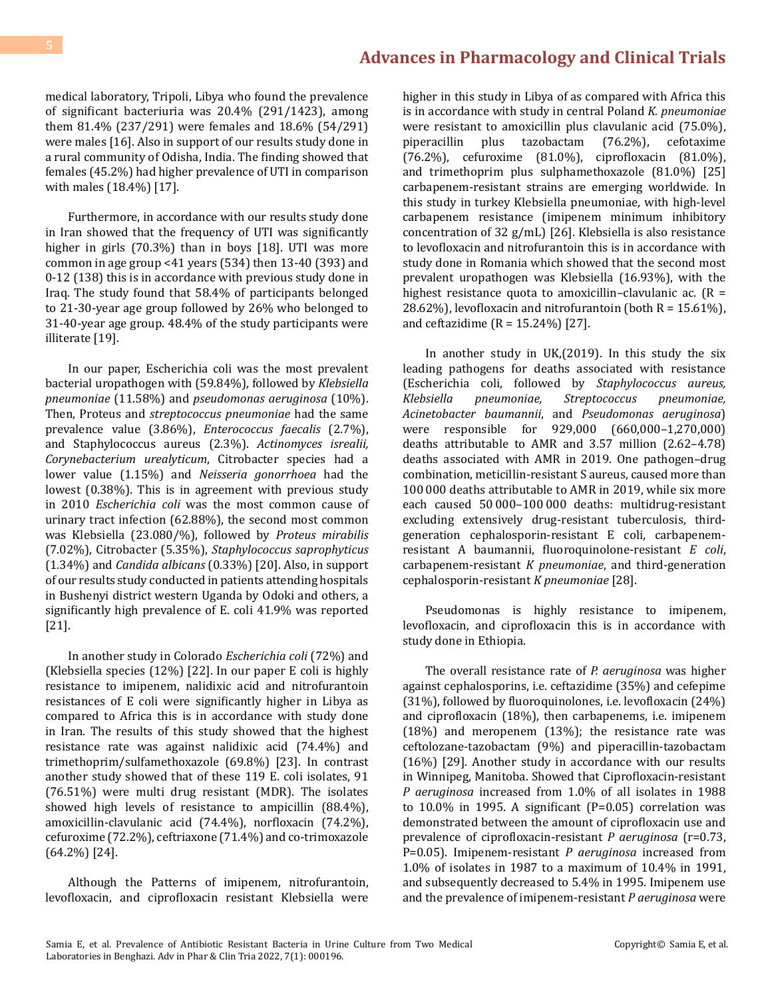medical laboratory, Tripoli, Libya who found the prevalence of significant bacteriuria was 20.4% (291/1423), among them 81.4% (237/291) were females and 18.6% (54/291) were males [16]. Also in support of our results study done in a rural community of Odisha, India. The finding showed that females (45.2%) had higher prevalence of UTI in comparison with males (18.4%) [17].

Furthermore, in accordance with our results study done in Iran showed that the frequency of UTI was significantly higher in girls (70.3%) than in boys [18]. UTI was more common in age group <41 years (534) then 13-40 (393) and 0-12 (138) this is in accordance with previous study done in Iraq. The study found that 58.4% of participants belonged to 21-30-year age group followed by 26% who belonged to 31-40-year age group. 48.4% of the study participants were illiterate [19].

In our paper, Escherichia coli was the most prevalent bacterial uropathogen with (59.84%), followed by *Klebsiella pneumoniae* (11.58%) and *pseudomonas aeruginosa* (10%). Then, Proteus and *streptococcus pneumoniae* had the same prevalence value (3.86%), *Enterococcus faecalis* (2.7%), and Staphylococcus aureus (2.3%). *Actinomyces isrealii, Corynebacterium urealyticum*, Citrobacter species had a lower value (1.15%) and *Neisseria gonorrhoea* had the lowest (0.38%). This is in agreement with previous study in 2010 *Escherichia coli* was the most common cause of urinary tract infection (62.88%), the second most common was Klebsiella (23.080/%), followed by *Proteus mirabilis* (7.02%), Citrobacter (5.35%), *Staphylococcus saprophyticus* (1.34%) and *Candida albicans* (0.33%) [20]. Also, in support of our results study conducted in patients attending hospitals in Bushenyi district western Uganda by Odoki and others, a significantly high prevalence of E. coli 41.9% was reported [21].

In another study in Colorado *Escherichia coli* (72%) and (Klebsiella species (12%) [22]. In our paper E coli is highly resistance to imipenem, nalidixic acid and nitrofurantoin resistances of E coli were significantly higher in Libya as compared to Africa this is in accordance with study done in Iran. The results of this study showed that the highest resistance rate was against nalidixic acid (74.4%) and trimethoprim/sulfamethoxazole (69.8%) [23]. In contrast another study showed that of these 119 E. coli isolates, 91 (76.51%) were multi drug resistant (MDR). The isolates showed high levels of resistance to ampicillin (88.4%), amoxicillin-clavulanic acid (74.4%), norfloxacin (74.2%), cefuroxime (72.2%), ceftriaxone (71.4%) and co-trimoxazole (64.2%) [24].

Although the Patterns of imipenem, nitrofurantoin, levofloxacin, and ciprofloxacin resistant Klebsiella were

higher in this study in Libya of as compared with Africa this is in accordance with study in central Poland *K. pneumoniae*  were resistant to amoxicillin plus clavulanic acid (75.0%), piperacillin plus tazobactam (76.2%), cefotaxime tazobactam (76.2%), cefuroxime (81.0%), ciprofloxacin (81.0%), and trimethoprim plus sulphamethoxazole (81.0%) [25] carbapenem-resistant strains are emerging worldwide. In this study in turkey Klebsiella pneumoniae, with high-level carbapenem resistance (imipenem minimum inhibitory concentration of 32 g/mL) [26]. Klebsiella is also resistance to levofloxacin and nitrofurantoin this is in accordance with study done in Romania which showed that the second most prevalent uropathogen was Klebsiella (16.93%), with the highest resistance quota to amoxicillin–clavulanic ac.  $(R =$ 28.62%), levofloxacin and nitrofurantoin (both  $R = 15.61\%$ ), and ceftazidime  $(R = 15.24\%)$  [27].

In another study in UK,(2019). In this study the six leading pathogens for deaths associated with resistance (Escherichia coli, followed by *Staphylococcus aureus, Klebsiella pneumoniae, Streptococcus pneumoniae, Acinetobacter baumannii*, and *Pseudomonas aeruginosa*) were responsible for 929,000 (660,000–1,270,000) deaths attributable to AMR and 3.57 million (2.62–4.78) deaths associated with AMR in 2019. One pathogen–drug combination, meticillin-resistant S aureus, caused more than 100 000 deaths attributable to AMR in 2019, while six more each caused 50 000–100 000 deaths: multidrug-resistant excluding extensively drug-resistant tuberculosis, thirdgeneration cephalosporin-resistant E coli, carbapenemresistant A baumannii, fluoroquinolone-resistant *E coli*, carbapenem-resistant *K pneumoniae*, and third-generation cephalosporin-resistant *K pneumoniae* [28].

Pseudomonas is highly resistance to imipenem, levofloxacin, and ciprofloxacin this is in accordance with study done in Ethiopia.

The overall resistance rate of *P. aeruginosa* was higher against cephalosporins, i.e. ceftazidime (35%) and cefepime (31%), followed by fluoroquinolones, i.e. levofloxacin (24%) and ciprofloxacin (18%), then carbapenems, i.e. imipenem (18%) and meropenem (13%); the resistance rate was ceftolozane-tazobactam (9%) and piperacillin-tazobactam (16%) [29]. Another study in accordance with our results in Winnipeg, Manitoba. Showed that Ciprofloxacin-resistant *P aeruginosa* increased from 1.0% of all isolates in 1988 to 10.0% in 1995. A significant (P=0.05) correlation was demonstrated between the amount of ciprofloxacin use and prevalence of ciprofloxacin-resistant *P aeruginosa* (r=0.73, P=0.05). Imipenem-resistant *P aeruginosa* increased from 1.0% of isolates in 1987 to a maximum of 10.4% in 1991, and subsequently decreased to 5.4% in 1995. Imipenem use and the prevalence of imipenem-resistant *P aeruginosa* were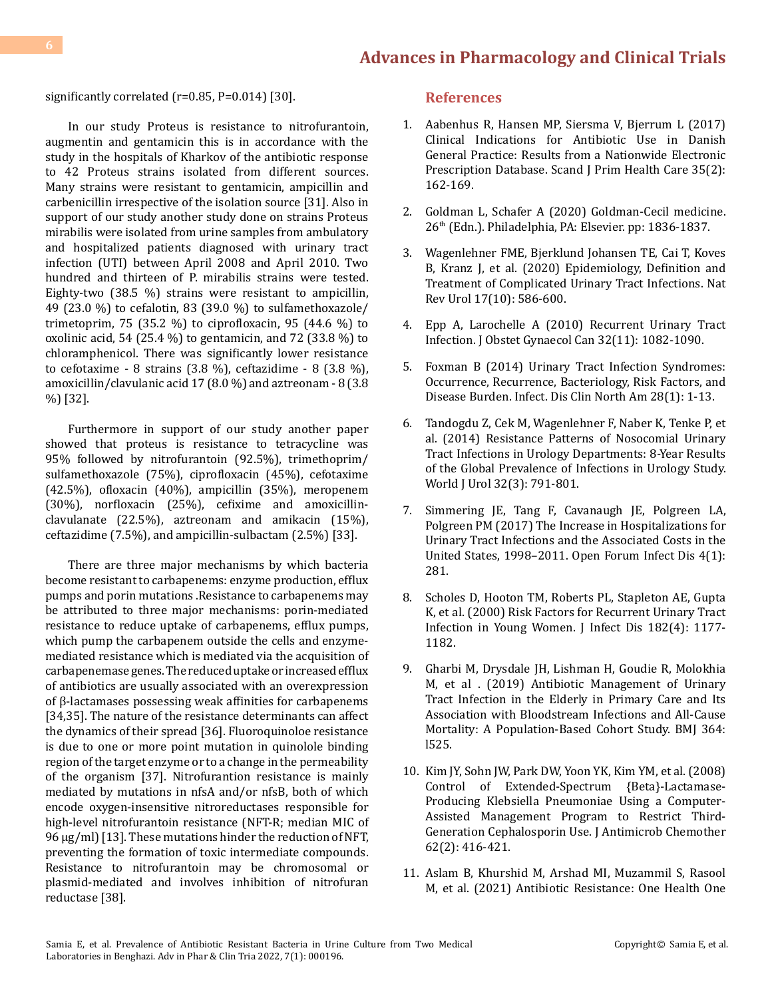significantly correlated (r=0.85, P=0.014) [30].

In our study Proteus is resistance to nitrofurantoin, augmentin and gentamicin this is in accordance with the study in the hospitals of Kharkov of the antibiotic response to 42 Proteus strains isolated from different sources. Many strains were resistant to gentamicin, ampicillin and carbenicillin irrespective of the isolation source [31]. Also in support of our study another study done on strains Proteus mirabilis were isolated from urine samples from ambulatory and hospitalized patients diagnosed with urinary tract infection (UTI) between April 2008 and April 2010. Two hundred and thirteen of P. mirabilis strains were tested. Eighty-two (38.5 %) strains were resistant to ampicillin, 49 (23.0 %) to cefalotin, 83 (39.0 %) to sulfamethoxazole/ trimetoprim, 75 (35.2  $\%$ ) to ciprofloxacin, 95 (44.6  $\%$ ) to oxolinic acid, 54 (25.4 %) to gentamicin, and 72 (33.8 %) to chloramphenicol. There was significantly lower resistance to cefotaxime - 8 strains  $(3.8 \%)$ , ceftazidime - 8  $(3.8 \%)$ , amoxicillin/clavulanic acid 17 (8.0 %) and aztreonam - 8 (3.8 %) [32].

Furthermore in support of our study another paper showed that proteus is resistance to tetracycline was 95% followed by nitrofurantoin (92.5%), trimethoprim/ sulfamethoxazole (75%), ciprofloxacin (45%), cefotaxime (42.5%), ofloxacin (40%), ampicillin (35%), meropenem (30%), norfloxacin (25%), cefixime and amoxicillinclavulanate (22.5%), aztreonam and amikacin (15%), ceftazidime (7.5%), and ampicillin-sulbactam (2.5%) [33].

There are three major mechanisms by which bacteria become resistant to carbapenems: enzyme production, efflux pumps and porin mutations .Resistance to carbapenems may be attributed to three major mechanisms: porin-mediated resistance to reduce uptake of carbapenems, efflux pumps, which pump the carbapenem outside the cells and enzymemediated resistance which is mediated via the acquisition of carbapenemase genes. The reduced uptake or increased efflux of antibiotics are usually associated with an overexpression of β-lactamases possessing weak affinities for carbapenems [34,35]. The nature of the resistance determinants can affect the dynamics of their spread [36]. Fluoroquinoloe resistance is due to one or more point mutation in quinolole binding region of the target enzyme or to a change in the permeability of the organism [37]. Nitrofurantion resistance is mainly mediated by mutations in nfsA and/or nfsB, both of which encode oxygen-insensitive nitroreductases responsible for high-level nitrofurantoin resistance (NFT-R; median MIC of 96 μg/ml) [13]. These mutations hinder the reduction of NFT, preventing the formation of toxic intermediate compounds. Resistance to nitrofurantoin may be chromosomal or plasmid-mediated and involves inhibition of nitrofuran reductase [38].

#### **References**

- 1. [Aabenhus R, Hansen MP, Siersma V, Bjerrum L \(2017\)](https://pubmed.ncbi.nlm.nih.gov/28585886/) [Clinical Indications for Antibiotic Use in Danish](https://pubmed.ncbi.nlm.nih.gov/28585886/) [General Practice: Results from a Nationwide Electronic](https://pubmed.ncbi.nlm.nih.gov/28585886/)  [Prescription Database. Scand J Prim Health Care 35\(2\):](https://pubmed.ncbi.nlm.nih.gov/28585886/) [162-169.](https://pubmed.ncbi.nlm.nih.gov/28585886/)
- 2. [Goldman L, Schafer A \(2020\) Goldman-Cecil medicine.](https://www.worldcat.org/title/goldman-cecil-medicine/oclc/1118693594) [26th \(Edn.\). Philadelphia, PA: Elsevier. pp: 1836-1837.](https://www.worldcat.org/title/goldman-cecil-medicine/oclc/1118693594)
- 3. [Wagenlehner FME, Bjerklund Johansen TE, Cai T, Koves](https://pubmed.ncbi.nlm.nih.gov/32843751/) [B, Kranz J, et al. \(2020\) Epidemiology, Definition and](https://pubmed.ncbi.nlm.nih.gov/32843751/) [Treatment of Complicated Urinary Tract Infections. Nat](https://pubmed.ncbi.nlm.nih.gov/32843751/)  [Rev Urol 17\(10\): 586-600.](https://pubmed.ncbi.nlm.nih.gov/32843751/)
- 4. [Epp A, Larochelle A \(2010\) Recurrent Urinary Tract](https://pubmed.ncbi.nlm.nih.gov/21176321/)  [Infection. J Obstet Gynaecol Can 32\(11\): 1082-1090.](https://pubmed.ncbi.nlm.nih.gov/21176321/)
- 5. [Foxman B \(2014\) Urinary Tract Infection Syndromes:](https://pubmed.ncbi.nlm.nih.gov/24484571/) [Occurrence, Recurrence, Bacteriology, Risk Factors, and](https://pubmed.ncbi.nlm.nih.gov/24484571/)  [Disease Burden. Infect. Dis Clin North Am 28\(1\): 1-13.](https://pubmed.ncbi.nlm.nih.gov/24484571/)
- 6. Tandogdu Z, [Cek M, Wagenlehner F, Naber K, Tenke P, et](https://pubmed.ncbi.nlm.nih.gov/23979151/)  [al. \(2014\) Resistance Patterns of Nosocomial Urinary](https://pubmed.ncbi.nlm.nih.gov/23979151/) [Tract Infections in Urology Departments: 8-Year Results](https://pubmed.ncbi.nlm.nih.gov/23979151/)  [of the Global Prevalence of Infections in Urology Study.](https://pubmed.ncbi.nlm.nih.gov/23979151/) [World J Urol 32\(3\): 791-801.](https://pubmed.ncbi.nlm.nih.gov/23979151/)
- 7. [Simmering JE, Tang F, Cavanaugh JE, Polgreen LA,](https://www.ncbi.nlm.nih.gov/pmc/articles/PMC5414046/) [Polgreen PM \(2017\) The Increase in Hospitalizations for](https://www.ncbi.nlm.nih.gov/pmc/articles/PMC5414046/) [Urinary Tract Infections and the Associated Costs in the](https://www.ncbi.nlm.nih.gov/pmc/articles/PMC5414046/) [United States, 1998–2011. Open Forum Infect Dis 4\(1\):](https://www.ncbi.nlm.nih.gov/pmc/articles/PMC5414046/) [281.](https://www.ncbi.nlm.nih.gov/pmc/articles/PMC5414046/)
- 8. [Scholes D, Hooton TM, Roberts PL, Stapleton AE, Gupta](https://pubmed.ncbi.nlm.nih.gov/10979915/)  [K, et al. \(2000\) Risk Factors for Recurrent Urinary Tract](https://pubmed.ncbi.nlm.nih.gov/10979915/)  [Infection in Young Women. J Infect Dis 182\(4\): 1177-](https://pubmed.ncbi.nlm.nih.gov/10979915/) [1182.](https://pubmed.ncbi.nlm.nih.gov/10979915/)
- 9. [Gharbi M, Drysdale JH, Lishman H, Goudie R, Molokhia](https://www.bmj.com/content/364/bmj.l525)  [M, et al . \(2019\) Antibiotic Management of Urinary](https://www.bmj.com/content/364/bmj.l525) [Tract Infection in the Elderly in Primary Care and Its](https://www.bmj.com/content/364/bmj.l525) [Association with Bloodstream Infections and All-Cause](https://www.bmj.com/content/364/bmj.l525)  [Mortality: A Population-Based Cohort Study. BMJ 364:](https://www.bmj.com/content/364/bmj.l525) [l525.](https://www.bmj.com/content/364/bmj.l525)
- 10. [Kim JY, Sohn JW, Park DW, Yoon YK, Kim YM, et al. \(2008\)](https://pubmed.ncbi.nlm.nih.gov/18413317/) [Control of Extended-Spectrum {Beta}-Lactamase-](https://pubmed.ncbi.nlm.nih.gov/18413317/)[Producing Klebsiella Pneumoniae Using a Computer-](https://pubmed.ncbi.nlm.nih.gov/18413317/)[Assisted Management Program to Restrict Third-](https://pubmed.ncbi.nlm.nih.gov/18413317/)[Generation Cephalosporin Use. J Antimicrob Chemother](https://pubmed.ncbi.nlm.nih.gov/18413317/) [62\(2\): 416-421.](https://pubmed.ncbi.nlm.nih.gov/18413317/)
- 11. [Aslam B, Khurshid M, Arshad MI, Muzammil S, Rasool](https://pubmed.ncbi.nlm.nih.gov/34900756/)  [M, et al. \(2021\) Antibiotic Resistance: One Health One](https://pubmed.ncbi.nlm.nih.gov/34900756/)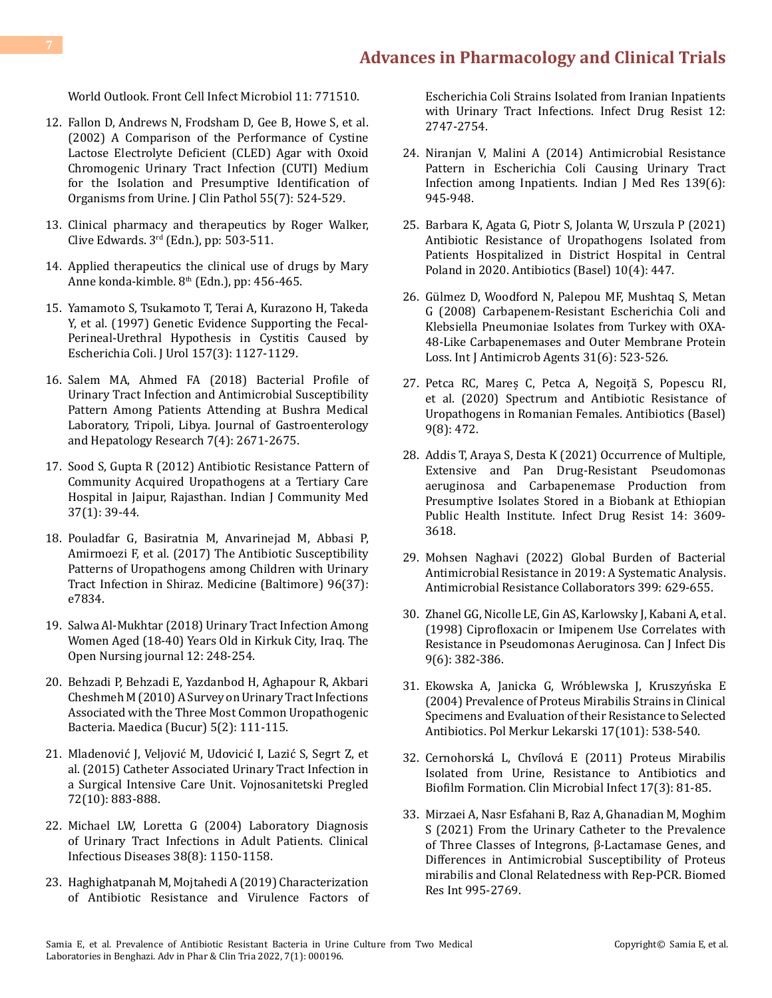[World Outlook. Front Cell Infect Microbiol 11: 771510.](https://pubmed.ncbi.nlm.nih.gov/34900756/)

- 12. [Fallon D, Andrews N, Frodsham D, Gee B, Howe S, et al.](https://pubmed.ncbi.nlm.nih.gov/12101200/) [\(2002\) A Comparison of the Performance of Cystine](https://pubmed.ncbi.nlm.nih.gov/12101200/) [Lactose Electrolyte Deficient \(CLED\) Agar with Oxoid](https://pubmed.ncbi.nlm.nih.gov/12101200/) [Chromogenic Urinary Tract Infection \(CUTI\) Medium](https://pubmed.ncbi.nlm.nih.gov/12101200/) [for the Isolation and Presumptive Identification of](https://pubmed.ncbi.nlm.nih.gov/12101200/) [Organisms from Urine. J Clin Pathol 55\(7\): 524-529.](https://pubmed.ncbi.nlm.nih.gov/12101200/)
- 13. Clinical pharmacy and therapeutics by Roger Walker, Clive Edwards.  $3<sup>rd</sup>$  (Edn.), pp: 503-511.
- 14. Applied therapeutics the clinical use of drugs by Mary Anne konda-kimble.  $8<sup>th</sup>$  (Edn.), pp: 456-465.
- 15. [Yamamoto S, Tsukamoto T, Terai A, Kurazono H, Takeda](https://pubmed.ncbi.nlm.nih.gov/9072556/) [Y, et al. \(1997\) Genetic Evidence Supporting the Fecal-](https://pubmed.ncbi.nlm.nih.gov/9072556/)[Perineal-Urethral Hypothesis in Cystitis Caused by](https://pubmed.ncbi.nlm.nih.gov/9072556/) [Escherichia Coli. J Urol 157\(3\): 1127-1129.](https://pubmed.ncbi.nlm.nih.gov/9072556/)
- 16. [Salem MA, Ahmed FA \(2018\) Bacterial Profile of](http://www.ghrnet.org/index.php/joghr/article/view/2380/2702) [Urinary Tract Infection and Antimicrobial Susceptibility](http://www.ghrnet.org/index.php/joghr/article/view/2380/2702) [Pattern Among Patients Attending at Bushra Medical](http://www.ghrnet.org/index.php/joghr/article/view/2380/2702) [Laboratory, Tripoli, Libya. Journal of Gastroenterology](http://www.ghrnet.org/index.php/joghr/article/view/2380/2702) [and Hepatology Research 7\(4\): 2671-2675.](http://www.ghrnet.org/index.php/joghr/article/view/2380/2702)
- 17. [Sood S, Gupta R \(2012\) Antibiotic Resistance Pattern of](https://www.ncbi.nlm.nih.gov/pmc/articles/PMC3326806/) [Community Acquired Uropathogens at a Tertiary Care](https://www.ncbi.nlm.nih.gov/pmc/articles/PMC3326806/) [Hospital in Jaipur, Rajasthan. Indian J Community Med](https://www.ncbi.nlm.nih.gov/pmc/articles/PMC3326806/) [37\(1\): 39-44.](https://www.ncbi.nlm.nih.gov/pmc/articles/PMC3326806/)
- 18. [Pouladfar G, Basiratnia M, Anvarinejad M, Abbasi P,](https://pubmed.ncbi.nlm.nih.gov/28906365/) [Amirmoezi F, et al. \(2017\) The Antibiotic Susceptibility](https://pubmed.ncbi.nlm.nih.gov/28906365/) [Patterns of Uropathogens among Children with Urinary](https://pubmed.ncbi.nlm.nih.gov/28906365/) Tract Infection in Shiraz. [Medicine \(Baltimore\) 96\(37\):](https://pubmed.ncbi.nlm.nih.gov/28906365/) [e7834.](https://pubmed.ncbi.nlm.nih.gov/28906365/)
- 19. [Salwa Al-Mukhtar \(2018\) Urinary Tract Infection Among](https://opennursingjournal.com/VOLUME/12/PAGE/248/FULLTEXT/) [Women Aged \(18-40\) Years Old in Kirkuk City, Iraq. The](https://opennursingjournal.com/VOLUME/12/PAGE/248/FULLTEXT/) [Open Nursing journal 12: 248-254.](https://opennursingjournal.com/VOLUME/12/PAGE/248/FULLTEXT/)
- 20. [Behzadi P, Behzadi E, Yazdanbod H, Aghapour R, Akbari](https://pubmed.ncbi.nlm.nih.gov/21977133/) [Cheshmeh M \(2010\) A Survey on Urinary Tract Infections](https://pubmed.ncbi.nlm.nih.gov/21977133/) [Associated with the Three Most Common Uropathogenic](https://pubmed.ncbi.nlm.nih.gov/21977133/) [Bacteria. Maedica \(Bucur\) 5\(2\): 111-115.](https://pubmed.ncbi.nlm.nih.gov/21977133/)
- 21. [Mladenović J, Veljović M, Udovicić I, Lazić S, Segrt Z, et](file:///D:/Medwin_PDFs/PDFs/PDFs%20Done/APCT%20(Quarterly)/Volume%207%20%20%20(2022)/Issue%202%20(Apr-Jun)/96.%20APCT-RA-22-205/Mladenović%20J,%20Veljović%20M,%20Udovicić%20I,%20Lazić%20S,%20Segrt%20Z) [al. \(2015\) Catheter Associated Urinary Tract Infection in](file:///D:/Medwin_PDFs/PDFs/PDFs%20Done/APCT%20(Quarterly)/Volume%207%20%20%20(2022)/Issue%202%20(Apr-Jun)/96.%20APCT-RA-22-205/Mladenović%20J,%20Veljović%20M,%20Udovicić%20I,%20Lazić%20S,%20Segrt%20Z) [a Surgical Intensive Care Unit. Vojnosanitetski Pregled](file:///D:/Medwin_PDFs/PDFs/PDFs%20Done/APCT%20(Quarterly)/Volume%207%20%20%20(2022)/Issue%202%20(Apr-Jun)/96.%20APCT-RA-22-205/Mladenović%20J,%20Veljović%20M,%20Udovicić%20I,%20Lazić%20S,%20Segrt%20Z) [72\(10\): 883-888.](file:///D:/Medwin_PDFs/PDFs/PDFs%20Done/APCT%20(Quarterly)/Volume%207%20%20%20(2022)/Issue%202%20(Apr-Jun)/96.%20APCT-RA-22-205/Mladenović%20J,%20Veljović%20M,%20Udovicić%20I,%20Lazić%20S,%20Segrt%20Z)
- 22. [Michael LW, Loretta G \(2004\) Laboratory Diagnosis](https://academic.oup.com/cid/article/38/8/1150/441696) [of Urinary Tract Infections in Adult Patients. Clinical](https://academic.oup.com/cid/article/38/8/1150/441696) [Infectious Diseases 38\(8\): 1150-1158.](https://academic.oup.com/cid/article/38/8/1150/441696)
- 23. [Haghighatpanah M, Mojtahedi A \(2019\) Characterization](https://pubmed.ncbi.nlm.nih.gov/31564925/) [of Antibiotic Resistance and Virulence Factors of](https://pubmed.ncbi.nlm.nih.gov/31564925/)

[Escherichia Coli Strains Isolated from Iranian Inpatients](https://pubmed.ncbi.nlm.nih.gov/31564925/)  [with Urinary Tract Infections. Infect Drug Resist 12:](https://pubmed.ncbi.nlm.nih.gov/31564925/) [2747-2754.](https://pubmed.ncbi.nlm.nih.gov/31564925/)

- 24. [Niranjan V, Malini A \(2014\) Antimicrobial Resistance](https://pubmed.ncbi.nlm.nih.gov/25109731/) [Pattern in Escherichia Coli Causing Urinary Tract](https://pubmed.ncbi.nlm.nih.gov/25109731/)  [Infection among Inpatients. Indian J Med Res 139\(6\):](https://pubmed.ncbi.nlm.nih.gov/25109731/) [945-948.](https://pubmed.ncbi.nlm.nih.gov/25109731/)
- 25. [Barbara K, Agata G, Piotr S, Jolanta W, Urszula P \(2021\)](https://pubmed.ncbi.nlm.nih.gov/33923389/) [Antibiotic Resistance of Uropathogens Isolated from](https://pubmed.ncbi.nlm.nih.gov/33923389/) [Patients Hospitalized in District Hospital in Central](https://pubmed.ncbi.nlm.nih.gov/33923389/) [Poland in 2020. Antibiotics \(Basel\) 10\(4\): 447.](https://pubmed.ncbi.nlm.nih.gov/33923389/)
- 26. [Gülmez D, Woodford N, Palepou MF, Mushtaq S, Metan](https://pubmed.ncbi.nlm.nih.gov/18339523/)  [G \(2008\) Carbapenem-Resistant Escherichia Coli and](https://pubmed.ncbi.nlm.nih.gov/18339523/) [Klebsiella Pneumoniae Isolates from Turkey with OXA-](https://pubmed.ncbi.nlm.nih.gov/18339523/)[48-Like Carbapenemases and Outer Membrane Protein](https://pubmed.ncbi.nlm.nih.gov/18339523/)  [Loss. Int J Antimicrob Agents 31\(6\): 523-526.](https://pubmed.ncbi.nlm.nih.gov/18339523/)
- 27. [Petca RC, Mareș C, Petca A, Negoiță S, Popescu RI,](https://www.ncbi.nlm.nih.gov/pmc/articles/PMC7459805/)  [et al. \(2020\) Spectrum and Antibiotic Resistance of](https://www.ncbi.nlm.nih.gov/pmc/articles/PMC7459805/) [Uropathogens in Romanian Females. Antibiotics \(Basel\)](https://www.ncbi.nlm.nih.gov/pmc/articles/PMC7459805/) [9\(8\): 472.](https://www.ncbi.nlm.nih.gov/pmc/articles/PMC7459805/)
- 28. [Addis T, Araya S, Desta K \(2021\) Occurrence of Multiple,](https://pubmed.ncbi.nlm.nih.gov/34511952/)  [Extensive and Pan Drug-Resistant Pseudomonas](https://pubmed.ncbi.nlm.nih.gov/34511952/) [aeruginosa and Carbapenemase Production from](https://pubmed.ncbi.nlm.nih.gov/34511952/)  [Presumptive Isolates Stored in a Biobank at Ethiopian](https://pubmed.ncbi.nlm.nih.gov/34511952/) [Public Health Institute. Infect Drug Resist 14: 3609-](https://pubmed.ncbi.nlm.nih.gov/34511952/) [3618.](https://pubmed.ncbi.nlm.nih.gov/34511952/)
- 29. [Mohsen Naghavi \(2022\) Global Burden of Bacterial](https://www.thelancet.com/action/showPdf?pii=S0140-6736%2821%2902724-0)  [Antimicrobial Resistance in 2019: A Systematic Analysis.](https://www.thelancet.com/action/showPdf?pii=S0140-6736%2821%2902724-0) [Antimicrobial Resistance Collaborators 399: 629-655.](https://www.thelancet.com/action/showPdf?pii=S0140-6736%2821%2902724-0)
- 30. [Zhanel GG, Nicolle LE, Gin AS, Karlowsky J, Kabani A, et al.](https://www.ncbi.nlm.nih.gov/pmc/articles/PMC3250873/)  [\(1998\) Ciprofloxacin or Imipenem Use Correlates with](https://www.ncbi.nlm.nih.gov/pmc/articles/PMC3250873/)  [Resistance in Pseudomonas Aeruginosa. Can J Infect Dis](https://www.ncbi.nlm.nih.gov/pmc/articles/PMC3250873/) [9\(6\): 382-386.](https://www.ncbi.nlm.nih.gov/pmc/articles/PMC3250873/)
- 31. [Ekowska A, Janicka G, Wróblewska J, Kruszyńska E](https://pubmed.ncbi.nlm.nih.gov/15754653/) [\(2004\) Prevalence of Proteus Mirabilis Strains in Clinical](https://pubmed.ncbi.nlm.nih.gov/15754653/) [Specimens and Evaluation of their Resistance to Selected](https://pubmed.ncbi.nlm.nih.gov/15754653/) [Antibiotics. Pol Merkur Lekarski 17\(101\): 538-540.](https://pubmed.ncbi.nlm.nih.gov/15754653/)
- 32. [Cernohorská L, Chvílová E \(2011\) Proteus Mirabilis](https://pubmed.ncbi.nlm.nih.gov/21780025/)  [Isolated from Urine, Resistance to Antibiotics and](https://pubmed.ncbi.nlm.nih.gov/21780025/) [Biofilm Formation. Clin Microbial Infect 17\(3\): 81-85.](https://pubmed.ncbi.nlm.nih.gov/21780025/)
- 33. [Mirzaei A, Nasr Esfahani B, Raz A, Ghanadian M, Moghim](https://pubmed.ncbi.nlm.nih.gov/34212042/) [S \(2021\) From the Urinary Catheter to the Prevalence](https://pubmed.ncbi.nlm.nih.gov/34212042/) [of Three Classes of Integrons, β-Lactamase Genes, and](https://pubmed.ncbi.nlm.nih.gov/34212042/) [Differences in Antimicrobial Susceptibility of Proteus](https://pubmed.ncbi.nlm.nih.gov/34212042/) [mirabilis and Clonal Relatedness with Rep-PCR. Biomed](https://pubmed.ncbi.nlm.nih.gov/34212042/) [Res Int 995-2769.](https://pubmed.ncbi.nlm.nih.gov/34212042/)